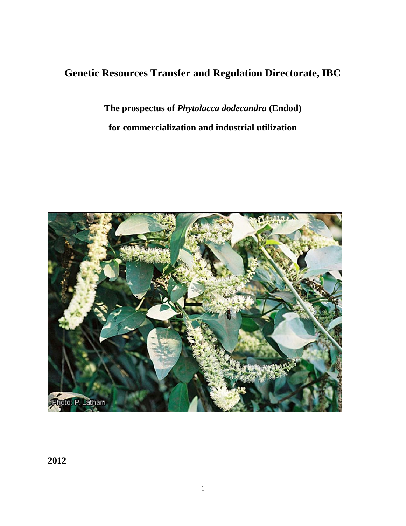# **Genetic Resources Transfer and Regulation Directorate, IBC**

**The prospectus of** *Phytolacca dodecandra* **(Endod) for commercialization and industrial utilization**



**2012**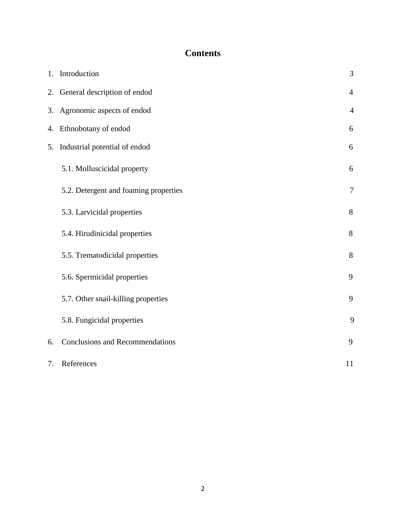# **Contents**

|    | 1. Introduction                        | 3              |
|----|----------------------------------------|----------------|
|    | 2. General description of endod        | $\overline{4}$ |
|    | 3. Agronomic aspects of endod          | $\overline{4}$ |
|    | 4. Ethnobotany of endod                | 6              |
| 5. | Industrial potential of endod          | 6              |
|    | 5.1. Molluscicidal property            | 6              |
|    | 5.2. Detergent and foaming properties  | 7              |
|    | 5.3. Larvicidal properties             | 8              |
|    | 5.4. Hirudinicidal properties          | 8              |
|    | 5.5. Trematodicidal properties         | 8              |
|    | 5.6. Spermicidal properties            | 9              |
|    | 5.7. Other snail-killing properties    | 9              |
|    | 5.8. Fungicidal properties             | 9              |
| 6. | <b>Conclusions and Recommendations</b> | 9              |
| 7. | References                             | 11             |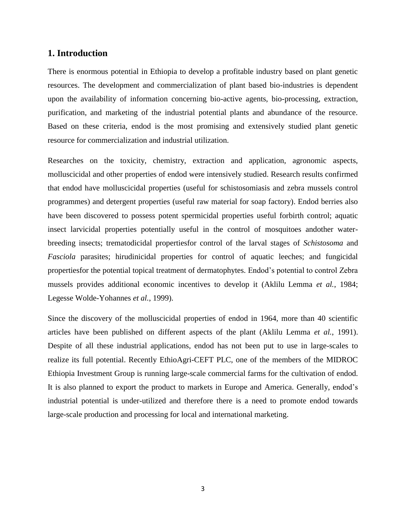## **1. Introduction**

There is enormous potential in Ethiopia to develop a profitable industry based on plant genetic resources. The development and commercialization of plant based bio-industries is dependent upon the availability of information concerning bio-active agents, bio-processing, extraction, purification, and marketing of the industrial potential plants and abundance of the resource. Based on these criteria, endod is the most promising and extensively studied plant genetic resource for commercialization and industrial utilization.

Researches on the toxicity, chemistry, extraction and application, agronomic aspects, molluscicidal and other properties of endod were intensively studied. Research results confirmed that endod have molluscicidal properties (useful for schistosomiasis and zebra mussels control programmes) and detergent properties (useful raw material for soap factory). Endod berries also have been discovered to possess potent spermicidal properties useful forbirth control; aquatic insect larvicidal properties potentially useful in the control of mosquitoes andother waterbreeding insects; trematodicidal propertiesfor control of the larval stages of *Schistosoma* and *Fasciola* parasites; hirudinicidal properties for control of aquatic leeches; and fungicidal propertiesfor the potential topical treatment of dermatophytes. Endod"s potential to control Zebra mussels provides additional economic incentives to develop it (Aklilu Lemma *et al.*, 1984; Legesse Wolde-Yohannes *et al.*, 1999).

Since the discovery of the molluscicidal properties of endod in 1964, more than 40 scientific articles have been published on different aspects of the plant (Aklilu Lemma *et al.*, 1991). Despite of all these industrial applications, endod has not been put to use in large-scales to realize its full potential. Recently EthioAgri-CEFT PLC, one of the members of the MIDROC Ethiopia Investment Group is running large-scale commercial farms for the cultivation of endod. It is also planned to export the product to markets in Europe and America. Generally, endod"s industrial potential is under-utilized and therefore there is a need to promote endod towards large-scale production and processing for local and international marketing.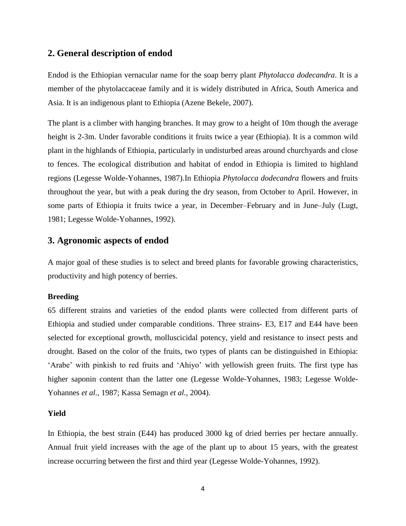## **2. General description of endod**

Endod is the Ethiopian vernacular name for the soap berry plant *Phytolacca dodecandra*. It is a member of the phytolaccaceae family and it is widely distributed in Africa, South America and Asia. It is an indigenous plant to Ethiopia (Azene Bekele, 2007).

The plant is a climber with hanging branches. It may grow to a height of 10m though the average height is 2-3m. Under favorable conditions it fruits twice a year (Ethiopia). It is a common wild plant in the highlands of Ethiopia, particularly in undisturbed areas around churchyards and close to fences. The ecological distribution and habitat of endod in Ethiopia is limited to highland regions (Legesse Wolde-Yohannes, 1987).In Ethiopia *Phytolacca dodecandra* flowers and fruits throughout the year, but with a peak during the dry season, from October to April. However, in some parts of Ethiopia it fruits twice a year, in December–February and in June–July (Lugt, 1981; Legesse Wolde-Yohannes, 1992).

## **3. Agronomic aspects of endod**

A major goal of these studies is to select and breed plants for favorable growing characteristics, productivity and high potency of berries.

### **Breeding**

65 different strains and varieties of the endod plants were collected from different parts of Ethiopia and studied under comparable conditions. Three strains- E3, E17 and E44 have been selected for exceptional growth, molluscicidal potency, yield and resistance to insect pests and drought. Based on the color of the fruits, two types of plants can be distinguished in Ethiopia: "Arabe" with pinkish to red fruits and "Ahiyo" with yellowish green fruits. The first type has higher saponin content than the latter one (Legesse Wolde-Yohannes, 1983; Legesse Wolde-Yohannes *et al.*, 1987; Kassa Semagn *et al.*, 2004).

#### **Yield**

In Ethiopia, the best strain (E44) has produced 3000 kg of dried berries per hectare annually. Annual fruit yield increases with the age of the plant up to about 15 years, with the greatest increase occurring between the first and third year (Legesse Wolde-Yohannes, 1992).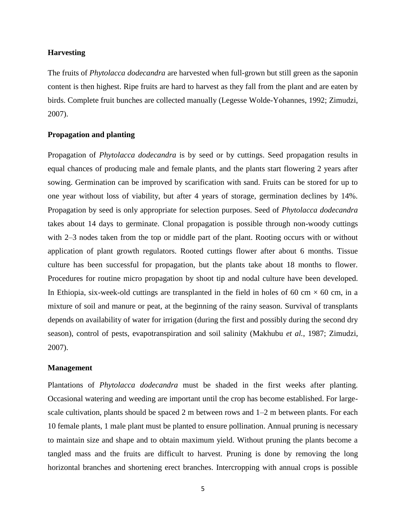### **Harvesting**

The fruits of *Phytolacca dodecandra* are harvested when full-grown but still green as the saponin content is then highest. Ripe fruits are hard to harvest as they fall from the plant and are eaten by birds. Complete fruit bunches are collected manually (Legesse Wolde-Yohannes, 1992; Zimudzi, 2007).

## **Propagation and planting**

Propagation of *Phytolacca dodecandra* is by seed or by cuttings. Seed propagation results in equal chances of producing male and female plants, and the plants start flowering 2 years after sowing. Germination can be improved by scarification with sand. Fruits can be stored for up to one year without loss of viability, but after 4 years of storage, germination declines by 14%. Propagation by seed is only appropriate for selection purposes. Seed of *Phytolacca dodecandra* takes about 14 days to germinate. Clonal propagation is possible through non-woody cuttings with 2–3 nodes taken from the top or middle part of the plant. Rooting occurs with or without application of plant growth regulators. Rooted cuttings flower after about 6 months. Tissue culture has been successful for propagation, but the plants take about 18 months to flower. Procedures for routine micro propagation by shoot tip and nodal culture have been developed. In Ethiopia, six-week-old cuttings are transplanted in the field in holes of 60 cm  $\times$  60 cm, in a mixture of soil and manure or peat, at the beginning of the rainy season. Survival of transplants depends on availability of water for irrigation (during the first and possibly during the second dry season), control of pests, evapotranspiration and soil salinity (Makhubu *et al.*, 1987; Zimudzi, 2007).

#### **Management**

Plantations of *Phytolacca dodecandra* must be shaded in the first weeks after planting. Occasional watering and weeding are important until the crop has become established. For largescale cultivation, plants should be spaced 2 m between rows and 1–2 m between plants. For each 10 female plants, 1 male plant must be planted to ensure pollination. Annual pruning is necessary to maintain size and shape and to obtain maximum yield. Without pruning the plants become a tangled mass and the fruits are difficult to harvest. Pruning is done by removing the long horizontal branches and shortening erect branches. Intercropping with annual crops is possible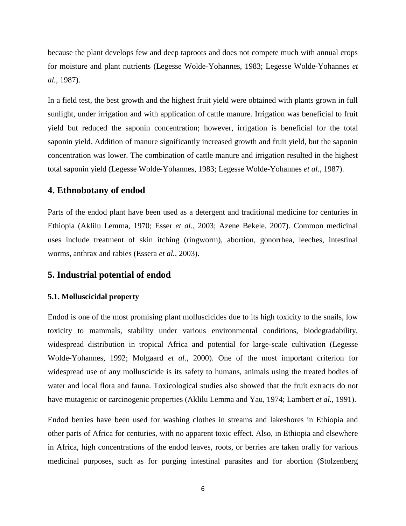because the plant develops few and deep taproots and does not compete much with annual crops for moisture and plant nutrients (Legesse Wolde-Yohannes, 1983; Legesse Wolde-Yohannes *et al.*, 1987).

In a field test, the best growth and the highest fruit yield were obtained with plants grown in full sunlight, under irrigation and with application of cattle manure. Irrigation was beneficial to fruit yield but reduced the saponin concentration; however, irrigation is beneficial for the total saponin yield. Addition of manure significantly increased growth and fruit yield, but the saponin concentration was lower. The combination of cattle manure and irrigation resulted in the highest total saponin yield (Legesse Wolde-Yohannes, 1983; Legesse Wolde-Yohannes *et al.*, 1987).

# **4. Ethnobotany of endod**

Parts of the endod plant have been used as a detergent and traditional medicine for centuries in Ethiopia (Aklilu Lemma, 1970; Esser *et al.*, 2003; Azene Bekele, 2007). Common medicinal uses include treatment of skin itching (ringworm), abortion, gonorrhea, leeches, intestinal worms, anthrax and rabies (Essera *et al.*, 2003).

# **5. Industrial potential of endod**

### **5.1. Molluscicidal property**

Endod is one of the most promising plant molluscicides due to its high toxicity to the snails, low toxicity to mammals, stability under various environmental conditions, biodegradability, widespread distribution in tropical Africa and potential for large-scale cultivation (Legesse Wolde-Yohannes, 1992; Molgaard *et al.*, 2000). One of the most important criterion for widespread use of any molluscicide is its safety to humans, animals using the treated bodies of water and local flora and fauna. Toxicological studies also showed that the fruit extracts do not have mutagenic or carcinogenic properties (Aklilu Lemma and Yau, 1974; Lambert *et al.*, 1991).

Endod berries have been used for washing clothes in streams and lakeshores in Ethiopia and other parts of Africa for centuries, with no apparent toxic effect. Also, in Ethiopia and elsewhere in Africa, high concentrations of the endod leaves, roots, or berries are taken orally for various medicinal purposes, such as for purging intestinal parasites and for abortion (Stolzenberg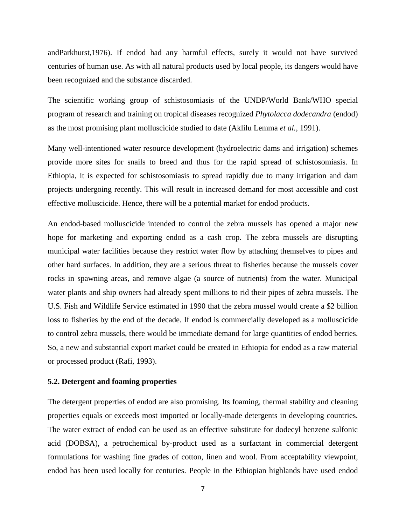andParkhurst,1976). If endod had any harmful effects, surely it would not have survived centuries of human use. As with all natural products used by local people, its dangers would have been recognized and the substance discarded.

The scientific working group of schistosomiasis of the UNDP/World Bank/WHO special program of research and training on tropical diseases recognized *Phytolacca dodecandra* (endod) as the most promising plant molluscicide studied to date (Aklilu Lemma *et al.*, 1991).

Many well-intentioned water resource development (hydroelectric dams and irrigation) schemes provide more sites for snails to breed and thus for the rapid spread of schistosomiasis. In Ethiopia, it is expected for schistosomiasis to spread rapidly due to many irrigation and dam projects undergoing recently. This will result in increased demand for most accessible and cost effective molluscicide. Hence, there will be a potential market for endod products.

An endod-based molluscicide intended to control the zebra mussels has opened a major new hope for marketing and exporting endod as a cash crop. The zebra mussels are disrupting municipal water facilities because they restrict water flow by attaching themselves to pipes and other hard surfaces. In addition, they are a serious threat to fisheries because the mussels cover rocks in spawning areas, and remove algae (a source of nutrients) from the water. Municipal water plants and ship owners had already spent millions to rid their pipes of zebra mussels. The U.S. Fish and Wildlife Service estimated in 1990 that the zebra mussel would create a \$2 billion loss to fisheries by the end of the decade. If endod is commercially developed as a molluscicide to control zebra mussels, there would be immediate demand for large quantities of endod berries. So, a new and substantial export market could be created in Ethiopia for endod as a raw material or processed product (Rafi, 1993).

### **5.2. Detergent and foaming properties**

The detergent properties of endod are also promising. Its foaming, thermal stability and cleaning properties equals or exceeds most imported or locally-made detergents in developing countries. The water extract of endod can be used as an effective substitute for dodecyl benzene sulfonic acid (DOBSA), a petrochemical by-product used as a surfactant in commercial detergent formulations for washing fine grades of cotton, linen and wool. From acceptability viewpoint, endod has been used locally for centuries. People in the Ethiopian highlands have used endod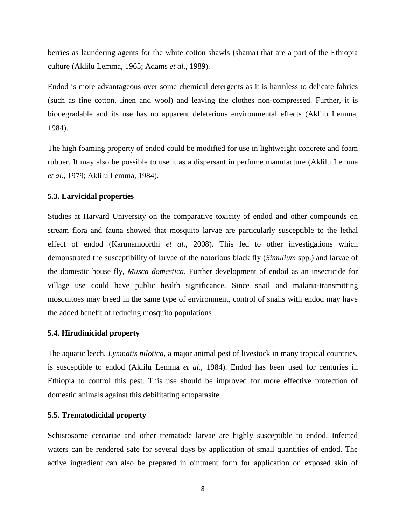berries as laundering agents for the white cotton shawls (shama) that are a part of the Ethiopia culture (Aklilu Lemma, 1965; Adams *et al.*, 1989).

Endod is more advantageous over some chemical detergents as it is harmless to delicate fabrics (such as fine cotton, linen and wool) and leaving the clothes non-compressed. Further, it is biodegradable and its use has no apparent deleterious environmental effects (Aklilu Lemma, 1984).

The high foaming property of endod could be modified for use in lightweight concrete and foam rubber. It may also be possible to use it as a dispersant in perfume manufacture (Aklilu Lemma *et al*., 1979; Aklilu Lemma, 1984).

#### **5.3. Larvicidal properties**

Studies at Harvard University on the comparative toxicity of endod and other compounds on stream flora and fauna showed that mosquito larvae are particularly susceptible to the lethal effect of endod (Karunamoorthi *et al.*, 2008). This led to other investigations which demonstrated the susceptibility of larvae of the notorious black fly (*Simulium* spp.) and larvae of the domestic house fly, *Musca domestica*. Further development of endod as an insecticide for village use could have public health significance. Since snail and malaria-transmitting mosquitoes may breed in the same type of environment, control of snails with endod may have the added benefit of reducing mosquito populations

#### **5.4. Hirudinicidal property**

The aquatic leech, *Lymnatis nilotica,* a major animal pest of livestock in many tropical countries, is susceptible to endod (Aklilu Lemma *et al.*, 1984). Endod has been used for centuries in Ethiopia to control this pest. This use should be improved for more effective protection of domestic animals against this debilitating ectoparasite.

#### **5.5. Trematodicidal property**

Schistosome cercariae and other trematode larvae are highly susceptible to endod. Infected waters can be rendered safe for several days by application of small quantities of endod. The active ingredient can also be prepared in ointment form for application on exposed skin of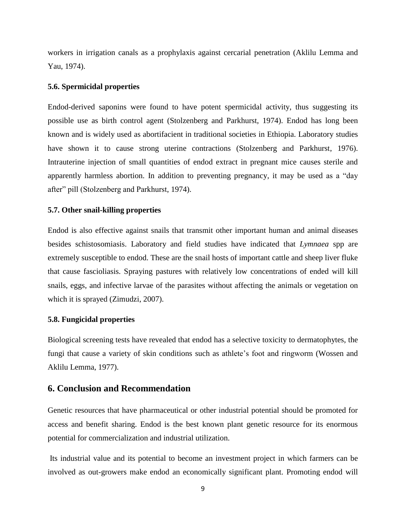workers in irrigation canals as a prophylaxis against cercarial penetration (Aklilu Lemma and Yau, 1974).

#### **5.6. Spermicidal properties**

Endod-derived saponins were found to have potent spermicidal activity, thus suggesting its possible use as birth control agent (Stolzenberg and Parkhurst, 1974). Endod has long been known and is widely used as abortifacient in traditional societies in Ethiopia. Laboratory studies have shown it to cause strong uterine contractions (Stolzenberg and Parkhurst, 1976). Intrauterine injection of small quantities of endod extract in pregnant mice causes sterile and apparently harmless abortion. In addition to preventing pregnancy, it may be used as a "day after" pill (Stolzenberg and Parkhurst, 1974).

#### **5.7. Other snail-killing properties**

Endod is also effective against snails that transmit other important human and animal diseases besides schistosomiasis. Laboratory and field studies have indicated that *Lymnaea* spp are extremely susceptible to endod. These are the snail hosts of important cattle and sheep liver fluke that cause fascioliasis. Spraying pastures with relatively low concentrations of ended will kill snails, eggs, and infective larvae of the parasites without affecting the animals or vegetation on which it is sprayed (Zimudzi, 2007).

### **5.8. Fungicidal properties**

Biological screening tests have revealed that endod has a selective toxicity to dermatophytes, the fungi that cause a variety of skin conditions such as athlete's foot and ringworm (Wossen and Aklilu Lemma, 1977).

# **6. Conclusion and Recommendation**

Genetic resources that have pharmaceutical or other industrial potential should be promoted for access and benefit sharing. Endod is the best known plant genetic resource for its enormous potential for commercialization and industrial utilization.

Its industrial value and its potential to become an investment project in which farmers can be involved as out-growers make endod an economically significant plant. Promoting endod will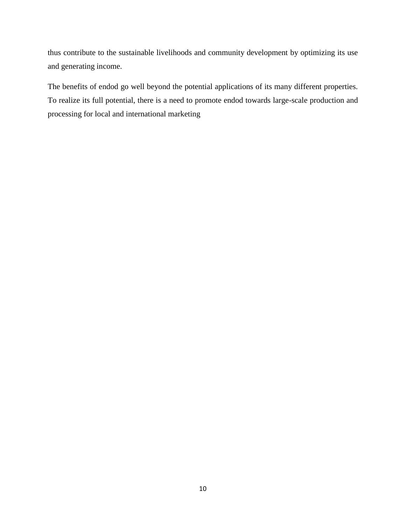thus contribute to the sustainable livelihoods and community development by optimizing its use and generating income.

The benefits of endod go well beyond the potential applications of its many different properties. To realize its full potential, there is a need to promote endod towards large-scale production and processing for local and international marketing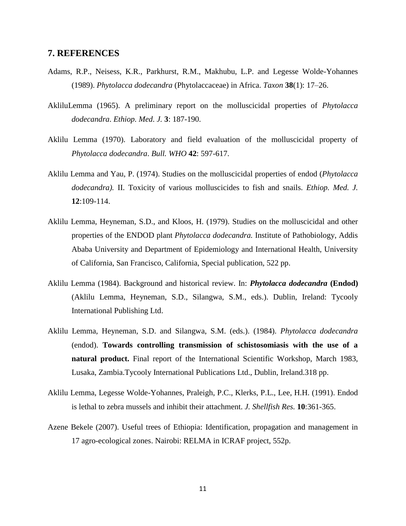## **7. REFERENCES**

- Adams, R.P., Neisess, K.R., Parkhurst, R.M., Makhubu, L.P. and Legesse Wolde-Yohannes (1989). *Phytolacca dodecandra* (Phytolaccaceae) in Africa. *Taxon* **38**(1): 17–26.
- AkliluLemma (1965). A preliminary report on the molluscicidal properties of *Phytolacca dodecandra*. *Ethiop. Med. J.* **3**: 187-190.
- Aklilu Lemma (1970). Laboratory and field evaluation of the molluscicidal property of *Phytolacca dodecandra*. *Bull. WHO* **42**: 597-617.
- Aklilu Lemma and Yau, P. (1974). Studies on the molluscicidal properties of endod (*Phytolacca dodecandra).* II. Toxicity of various molluscicides to fish and snails. *Ethiop. Med. J.*  **12**:109-114.
- Aklilu Lemma, Heyneman, S.D., and Kloos, H. (1979). Studies on the molluscicidal and other properties of the ENDOD plant *Phytolacca dodecandra.* Institute of Pathobiology, Addis Ababa University and Department of Epidemiology and International Health, University of California, San Francisco, California, Special publication, 522 pp.
- Aklilu Lemma (1984). Background and historical review. In: *Phytolacca dodecandra* **(Endod)** (Aklilu Lemma, Heyneman, S.D., Silangwa, S.M., eds.). Dublin, Ireland: Tycooly International Publishing Ltd.
- Aklilu Lemma, Heyneman, S.D. and Silangwa, S.M. (eds.). (1984). *Phytolacca dodecandra* (endod). **Towards controlling transmission of schistosomiasis with the use of a natural product.** Final report of the International Scientific Workshop, March 1983, Lusaka, Zambia.Tycooly International Publications Ltd., Dublin, Ireland.318 pp.
- Aklilu Lemma, Legesse Wolde-Yohannes, Praleigh, P.C., Klerks, P.L., Lee, H.H. (1991). Endod is lethal to zebra mussels and inhibit their attachment. *J. Shellfish Res.* **10**:361-365.
- Azene Bekele (2007). Useful trees of Ethiopia: Identification, propagation and management in 17 agro-ecological zones. Nairobi: RELMA in ICRAF project, 552p.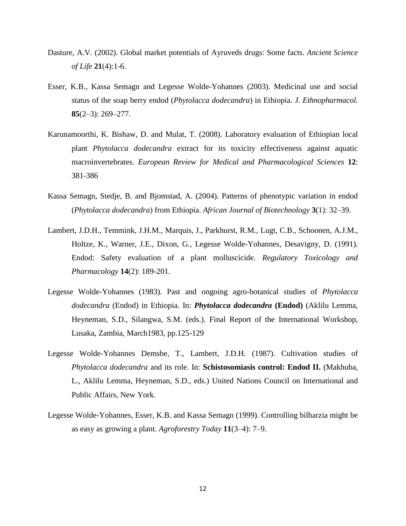- Dasture, A.V. (2002). Global market potentials of Ayruveds drugs: Some facts. *Ancient Science of Life* **21**(4):1-6.
- Esser, K.B., Kassa Semagn and Legesse Wolde-Yohannes (2003). Medicinal use and social status of the soap berry endod (*Phytolacca dodecandra*) in Ethiopia. *J. Ethnopharmacol.* **85**(2–3): 269–277.
- Karunamoorthi, K. Bishaw, D. and Mulat, T. (2008). Laboratory evaluation of Ethiopian local plant *Phytolacca dodecandra* extract for its toxicity effectiveness against aquatic macroinvertebrates. *European Review for Medical and Pharmacological Sciences* **12**: 381-386
- Kassa Semagn, Stedje, B. and Bjomstad, A. (2004). Patterns of phenotypic variation in endod (*Phytolacca dodecandra*) from Ethiopia. *African Journal of Biotechnology* **3**(1): 32–39.
- Lambert, J.D.H., Temmink, J.H.M., Marquis, J., Parkhurst, R.M., Lugt, C.B., Schoonen, A.J.M., Holtze, K., Warner, J.E., Dixon, G., Legesse Wolde-Yohannes, Desavigny, D. (1991). Endod: Safety evaluation of a plant molluscicide. *Regulatory Toxicology and Pharmacology* **14**(2): 189-201.
- Legesse Wolde-Yohannes (1983). Past and ongoing agro-botanical studies of *Phytolacca dodecandra* (Endod) in Ethiopia. In: *Phytolacca dodecandra* **(Endod)** (Aklilu Lemma, Heyneman, S.D., Silangwa, S.M. (eds.). Final Report of the International Workshop, Lusaka, Zambia, March1983, pp.125-129
- Legesse Wolde-Yohannes Demsbe, T., Lambert, J.D.H. (1987). Cultivation studies of *Phytolacca dodecandra* and its role. In: **Schistosomiasis control: Endod II.** (Makhuba, L., Aklilu Lemma, Heyneman, S.D., eds.) United Nations Council on International and Public Affairs, New York.
- Legesse Wolde-Yohannes, Esser, K.B. and Kassa Semagn (1999). Controlling bilharzia might be as easy as growing a plant. *Agroforestry Today* **11**(3–4): 7–9.